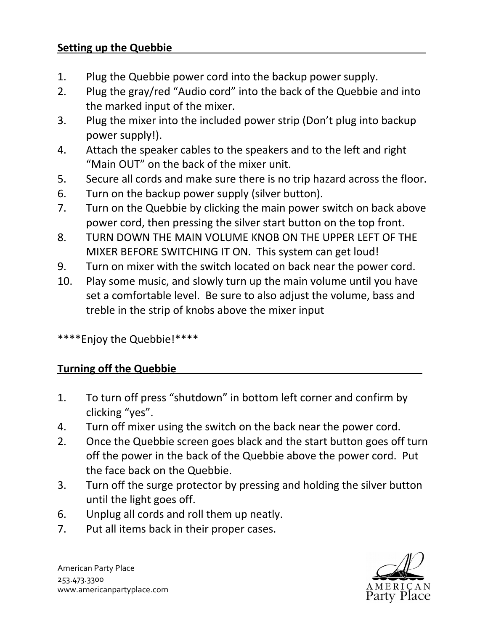## **Setting up the Quebbie**

- 1. Plug the Quebbie power cord into the backup power supply.
- 2. Plug the gray/red "Audio cord" into the back of the Quebbie and into the marked input of the mixer.
- 3. Plug the mixer into the included power strip (Don't plug into backup power supply!).
- 4. Attach the speaker cables to the speakers and to the left and right "Main OUT" on the back of the mixer unit.
- 5. Secure all cords and make sure there is no trip hazard across the floor.
- 6. Turn on the backup power supply (silver button).
- 7. Turn on the Quebbie by clicking the main power switch on back above power cord, then pressing the silver start button on the top front.
- 8. TURN DOWN THE MAIN VOLUME KNOB ON THE UPPER LEFT OF THE MIXER BEFORE SWITCHING IT ON. This system can get loud!
- 9. Turn on mixer with the switch located on back near the power cord.
- 10. Play some music, and slowly turn up the main volume until you have set a comfortable level. Be sure to also adjust the volume, bass and treble in the strip of knobs above the mixer input

\*\*\*\*Enjoy the Quebbie!\*\*\*\*

## **Turning off the Quebbie \_**

- 1. To turn off press "shutdown" in bottom left corner and confirm by clicking "yes".
- 4. Turn off mixer using the switch on the back near the power cord.
- 2. Once the Quebbie screen goes black and the start button goes off turn off the power in the back of the Quebbie above the power cord. Put the face back on the Quebbie.
- 3. Turn off the surge protector by pressing and holding the silver button until the light goes off.
- 6. Unplug all cords and roll them up neatly.
- 7. Put all items back in their proper cases.